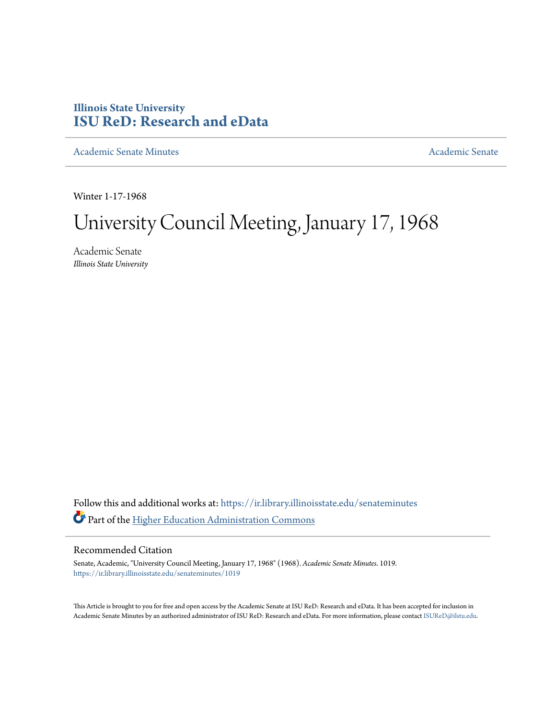# **Illinois State University [ISU ReD: Research and eData](https://ir.library.illinoisstate.edu?utm_source=ir.library.illinoisstate.edu%2Fsenateminutes%2F1019&utm_medium=PDF&utm_campaign=PDFCoverPages)**

[Academic Senate Minutes](https://ir.library.illinoisstate.edu/senateminutes?utm_source=ir.library.illinoisstate.edu%2Fsenateminutes%2F1019&utm_medium=PDF&utm_campaign=PDFCoverPages) [Academic Senate](https://ir.library.illinoisstate.edu/senate?utm_source=ir.library.illinoisstate.edu%2Fsenateminutes%2F1019&utm_medium=PDF&utm_campaign=PDFCoverPages) Academic Senate

Winter 1-17-1968

# University Council Meeting, January 17, 1968

Academic Senate *Illinois State University*

Follow this and additional works at: [https://ir.library.illinoisstate.edu/senateminutes](https://ir.library.illinoisstate.edu/senateminutes?utm_source=ir.library.illinoisstate.edu%2Fsenateminutes%2F1019&utm_medium=PDF&utm_campaign=PDFCoverPages) Part of the [Higher Education Administration Commons](http://network.bepress.com/hgg/discipline/791?utm_source=ir.library.illinoisstate.edu%2Fsenateminutes%2F1019&utm_medium=PDF&utm_campaign=PDFCoverPages)

## Recommended Citation

Senate, Academic, "University Council Meeting, January 17, 1968" (1968). *Academic Senate Minutes*. 1019. [https://ir.library.illinoisstate.edu/senateminutes/1019](https://ir.library.illinoisstate.edu/senateminutes/1019?utm_source=ir.library.illinoisstate.edu%2Fsenateminutes%2F1019&utm_medium=PDF&utm_campaign=PDFCoverPages)

This Article is brought to you for free and open access by the Academic Senate at ISU ReD: Research and eData. It has been accepted for inclusion in Academic Senate Minutes by an authorized administrator of ISU ReD: Research and eData. For more information, please contact [ISUReD@ilstu.edu.](mailto:ISUReD@ilstu.edu)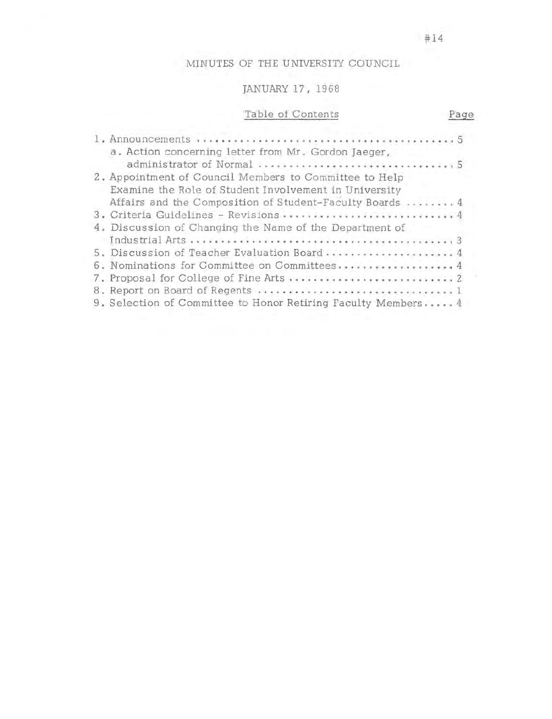# MINUTES OF THE UNIVERSITY COUNCIL

# JANUARY 17, 1968

# Table of Contents

| a. Action concerning letter from Mr. Gordon Jaeger,           |  |
|---------------------------------------------------------------|--|
|                                                               |  |
| 2. Appointment of Council Members to Committee to Help        |  |
| Examine the Role of Student Involvement in University         |  |
| Affairs and the Composition of Student-Faculty Boards  4      |  |
| 3. Criteria Guidelines - Revisions  4                         |  |
| 4. Discussion of Changing the Name of the Department of       |  |
|                                                               |  |
| 5. Discussion of Teacher Evaluation Board  4                  |  |
| 6. Nominations for Committee on Committees 4                  |  |
|                                                               |  |
|                                                               |  |
| 9. Selection of Committee to Honor Retiring Faculty Members 4 |  |

Page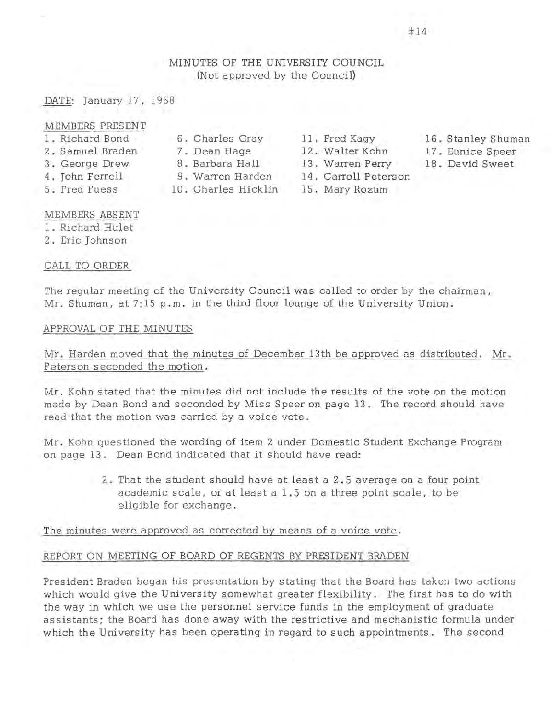# MINUTES OF THE UNIVERSITY COUNCIL (Not approved by the Council)

# DATE: January 17, 1968

#### MEMBERS PRESENT

- 1. Richard Bond 2. Samuel Braden
- 3 . George Drew
- 4. John Ferrell
- 5 . Fred Fuess
- 6. Charles Gray
- 7.
	- 8. Barbara Hall
	- 9. Warren Harden
- 10. Charles Hicklin

11. Fred Kagy

- 12. Walter Kohn
- 13. Warren Perry
- 14. Carroll Peters on
- 15. Mary Rozum
- 16. Stanley Shuman
- Eunice Speer
- 18. David Sweet

## MEMBERS ABSENT

- 1 . Richard Hulet
- 2. Eric Johnson

# CALL TO ORDER

The regular meeting of the University Council was called to order by the chairman, Mr. Shuman, at 7:15 p.m. in the third floor lounge of the University Union .

## APPROVAL OF THE MINUTES

Mr. Harden moved that the minutes of December 13th be approved as distributed. Mr. Peters on seconded the motion.

Mr. Kohn stated that the minutes did not include the results of the vote on the motion made by Dean Bond and seconded by Miss Speer on page 13. The record should have read that the motion was carried by a voice vote.

Mr. Kohn questioned the wording of item 2 under Domestic Student Exchange Program on page 13. Dean Bond indicated that it should have read:

> 2. That the student should have at least a 2. 5 average on a four point academic scale, or at least a 1. 5 on a three point scale, to be eligible for exchange.

The minutes were approved as corrected by means of a voice vote.

# REPORT ON MEETING OF BOARD OF REGENTS BY PRESIDENT BRADEN

President Braden began his presentation by stating that the Board has taken two actions which would give the University somewhat greater flexibility. The first has to do with the way in which we use the personnel service funds in the employment of graduate assistants; the Board has done away with the restrictive and mechanistic formula under which the University has been operating in regard to such appointments. The second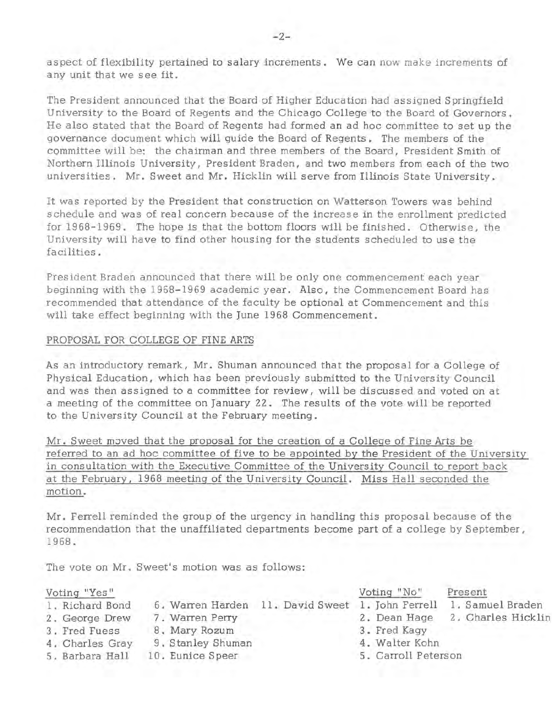aspect of flexibility pertained to salary increments. We can now make increments of any unit that we see fit.

The President announced that the Board of Higher Education had assigned Springfield University to the Board of Regents and the Chicago College to the Board of Governors. He also stated that the Board of Regents had formed an ad hoc committee to set up the governance document which will guide the Board of Regents. The members of the committee will be: the chairman and three members of the Board, President Smith of Northern Illinois University, President Braden, and two members from each of the two universities. Mr. Sweet and Mr. Hicklin will serve from Illinois State University.

It was reported by the President that construction on Watterson Towers was behind schedule and was of real concern because of the increase in the enrollment predicted for 19 68-1969. The hope is that the bottom floors will be finished. Otherwise, the University will have to find other housing for the students scheduled to use the facilities.

President Braden announced that there will be only one commencement each year beginning with the 1968-1969 academic year. Also, the Commencement Board has. recommended that attendance of the faculty be optional at Commencement and this will take effect beginning with the June 1968 Commencement.

## PROPOSAL FOR COLLEGE OF FINE ARTS

As an introductory remark, Mr. Shuman announced that the proposal for a College of Physical Education, which has been previously submitted to the University Council and was then assigned to a committee for review, will be discussed and voted on at a meeting of the committee on January 22. The results of the vote will be reported to the University Council at the February meeting.

Mr. Sweet moved that the proposal for the creation of a College of Fine Arts be referred to an ad hoc committee of five to be appointed by the President of the University in consultation with the Executive Committee of the University Council to report back at the February, 1968 meeting of the University Council. Miss Hall seconded the motion.

Mr. Ferrell reminded the group of the urgency in handling this proposal because of the recommendation that the unaffiliated departments become part of a college by September, 1968.

The vote on Mr. Sweet's motion was as follows:

|                                                                                          |                                                                           | Voting "No"         | Present                                          |
|------------------------------------------------------------------------------------------|---------------------------------------------------------------------------|---------------------|--------------------------------------------------|
|                                                                                          |                                                                           |                     | 1. Samuel Braden                                 |
|                                                                                          |                                                                           | 2. Dean Hage        | 2. Charles Hicklin                               |
|                                                                                          |                                                                           | 3. Fred Kagy        |                                                  |
|                                                                                          |                                                                           | 4. Walter Kohn      |                                                  |
|                                                                                          |                                                                           | 5. Carroll Peterson |                                                  |
| 1. Richard Bond<br>2. George Drew<br>3. Fred Fuess<br>4. Charles Gray<br>5. Barbara Hall | 7. Warren Perry<br>8. Mary Rozum<br>9. Stanley Shuman<br>10. Eunice Speer |                     | 6. Warren Harden 11. David Sweet 1. John Ferrell |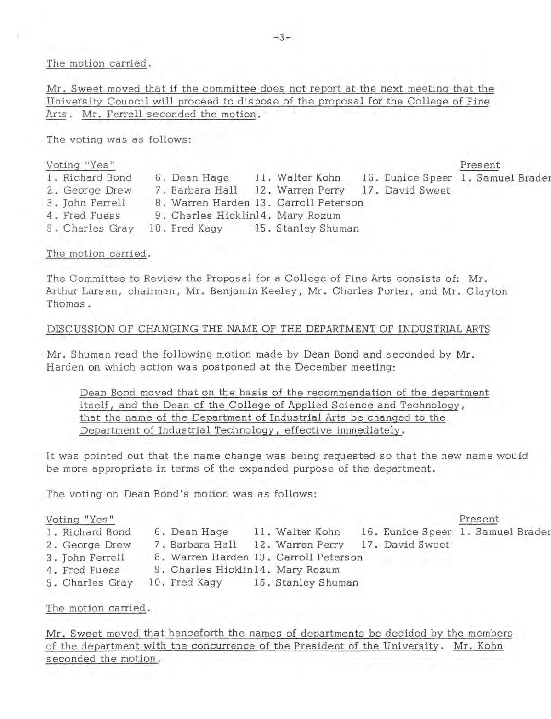The motion carried.

Mr. Sweet moved that if the committee does not report at the next meeting that the University Council will proceed to dispose of the proposal for the College of Fine Arts . Mr. Ferrell seconded the motion.

The voting was as follows:

| Voting "Yes"    |                                       |                    |                                   | Present |  |
|-----------------|---------------------------------------|--------------------|-----------------------------------|---------|--|
| 1. Richard Bond | 6. Dean Hage                          | 11. Walter Kohn    | 16. Eunice Speer 1. Samuel Brader |         |  |
| 2. George Drew  | 7. Barbara Hall 12. Warren Perry      |                    | 17. David Sweet                   |         |  |
| 3. John Ferrell | 8. Warren Harden 13. Carroll Peterson |                    |                                   |         |  |
| 4. Fred Fuess   | 9. Charles Hicklin14. Mary Rozum      |                    |                                   |         |  |
| 5. Charles Gray | 10. Fred Kagy                         | 15. Stanley Shuman |                                   |         |  |

# The motion carried.

The Committee to Review the Proposal for a College of Fine Arts consists of: Mr. Arthur Lars en, chairman, Mr. Benjamin Keeley, Mr. Charles Porter, and Mr. Clayton Thomas.

# DISCUSSION OF CHANGING THE NAME OF THE DEPARTMENT OF INDUSTRIAL ARTS

Mr. Shuman read the following motion made by Dean Bond and seconded by Mr. Harden on which action was postponed at the December meeting:

Dean Bond moved that on the basis of the recommendation of the department itself, and the Dean of the College of Applied Science and Technology, that the name of the Department of Industrial Arts be changed to the Department of Industrial Technology, effective immediately.

It was pointed out that the name change was being requested so that the new name would be more appropriate in terms of the expanded purpose of the department.

The voting on Dean Bond's motion was as follows:

| Voting "Yes"    |              |  |                                                     |                                                                           | Present                                          |                                   |
|-----------------|--------------|--|-----------------------------------------------------|---------------------------------------------------------------------------|--------------------------------------------------|-----------------------------------|
| 1. Richard Bond | 6. Dean Hage |  |                                                     |                                                                           |                                                  |                                   |
| 2. George Drew  |              |  |                                                     |                                                                           |                                                  |                                   |
| 3. John Ferrell |              |  |                                                     |                                                                           |                                                  |                                   |
| 4. Fred Fuess   |              |  |                                                     |                                                                           |                                                  |                                   |
| 5. Charles Gray |              |  |                                                     |                                                                           |                                                  |                                   |
|                 |              |  | 11. Walter Kohn<br>9. Charles Hicklin14. Mary Rozum | 8. Warren Harden 13. Carroll Peterson<br>10. Fred Kagy 15. Stanley Shuman | 7. Barbara Hall 12. Warren Perry 17. David Sweet | 16. Eunice Speer 1. Samuel Brader |

The motion carried.

Mr. Sweet moved that henceforth the names of departments be decided by the members of the department with the concurrence of the President of the University. Mr. Kohn seconded the motion.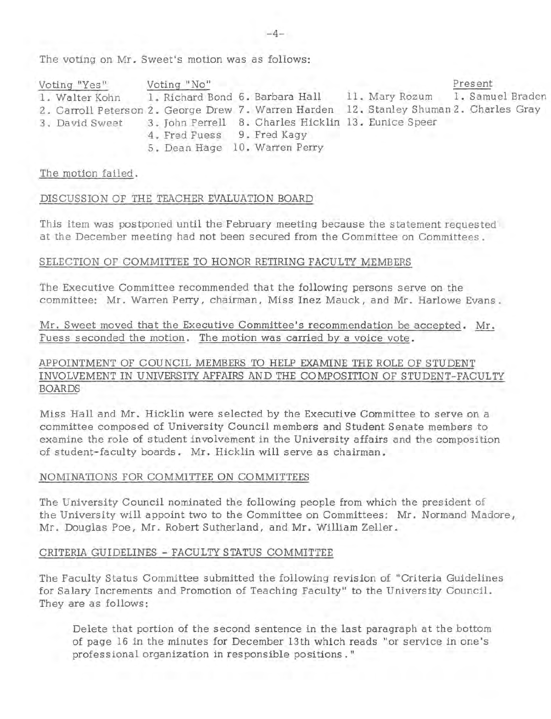The voting on Mr. Sweet's motion was as follows:

| Voting "Yes"   | Voting "No"                |                               |                                                                                                                                                           | Present |
|----------------|----------------------------|-------------------------------|-----------------------------------------------------------------------------------------------------------------------------------------------------------|---------|
| 1. Walter Kohn |                            |                               | 1. Richard Bond 6. Barbara Hall 11. Mary Rozum 1. Samuel Braden<br>2. Carroll Peterson 2. George Drew 7. Warren Harden 12. Stanley Shuman 2. Charles Gray |         |
| 3. David Sweet |                            |                               | 3. John Perrell 8. Charles Hicklin 13. Eunice Speer                                                                                                       |         |
|                | 4. Fred Fuess 9. Fred Kaqv | 5. Dean Hage 10. Warren Perry |                                                                                                                                                           |         |

#### The motion failed.

## DISCUSSION OF THE TEACHER EVALUATION BOARD

This item was postponed until the February meeting because the statement requested at the December meeting had not been secured from the Committee on Committees.

#### SELECTION OF COMMITTEE TO HONOR RETIRING FACULTY MEMBERS

The Executive Committee recommended that the following persons serve on the committee: Mr. Warren Perry, chairman, Miss Inez Mauck, and Mr. Harlowe Evans.

Mr. Sweet moved that the Executive Committee's recommendation be accepted. Mr. Fuess seconded the motion. The motion was carried by a voice vote.

# APPOINTMENT OF COUNCIL MEMBERS TO HELP EXAMINE THE ROLE OF STUDENT INVOLVEMENT IN UNIVERSITY AFFAIRS AND THE COMPOSITION OF STUDENT-FACULTY BOARDS

Miss Hall and Mr. Hicklin were selected by the Executive Committee to serve on a committee composed of University Council members and Student Senate members to examine the role of student involvement in the University affairs and the composition of student-faculty boards. Mr. Hicklin will serve as chairman.

## NOMINATIONS FOR COMMITTEE ON COMMITTEES

The University Council nominated the following people from which the president of the University will appoint two to the Committee on Committees: Mr. Normand Madore, Mr. Douglas Poe, Mr. Robert Sutherland, and Mr. William Zeller.

## CRITERIA GUIDELINES - FACULTY STATUS COMMITTEE

The Faculty Status Committee submitted the following revision of "Criteria Guidelines for Salary Increments and Promotion of Teaching Faculty" to the University Council. They are as follows:

Delete that portion of the second sentence in the last paragraph at the bottom of page 16 in the minutes for December 13th which reads "or service in one's professional organization in responsible positions."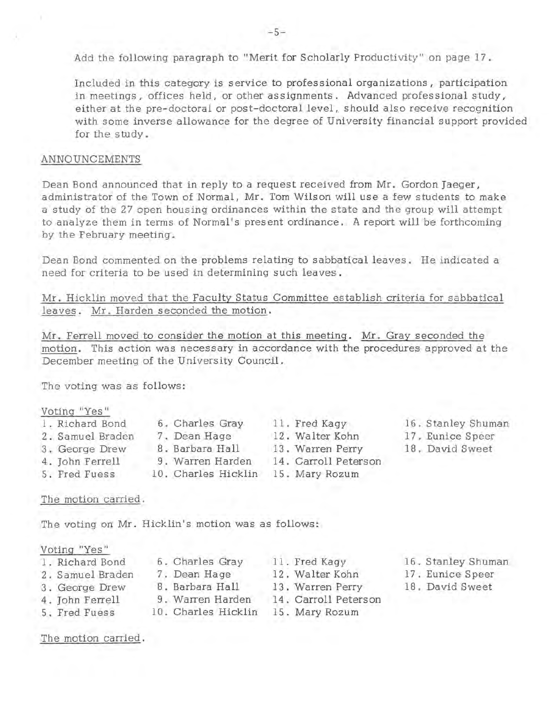Add the following paragraph to "Merit for Scholarly Productivity " on page 17.

Included in this category is service to professional organizations, participation in meetings, offices held, or other assignments. Advanced professional study, either at the pre-doctoral or post-doctoral level, should also receive recognition with some inverse allowance for the degree of University financial support provided for the study.

#### ANNOUNCEMENTS

Dean Bond announced that in reply to a request received from Mr. Gordon Jaeger, administrator of the Town of Normal, Mr. Tom Wilson will use a few students to make a study of the 27 open housing ordinances within the state and the group will attempt to analyze them in terms of Normal's present ordinance. A report will be forthcoming by the February meeting.

Dean Bond commented on the problems relating to sabbatical leaves. He indicated a need for criteria to be used in determining such leaves.

Mr. Hicklin moved that the Faculty Status Committee establish criteria for sabbatical leaves. Mr. Harden seconded the motion.

Mr. Ferrell moved to consider the motion at this meeting. Mr. Gray seconded the motion. This action was necessary in accordance with the procedures approved at the December meeting of the University Council.

The voting was as follows:

#### Voting "Yes"

| 1. Richard Bond  | 6. Charles Gray     | 11. Fred Kagy        | 16. Stanley Shuman |
|------------------|---------------------|----------------------|--------------------|
| 2. Samuel Braden | 7. Dean Hage        | 12. Walter Kohn      | 17. Eunice Speer   |
| 3. George Drew   | 8. Barbara Hall     | 13. Warren Perry     | 18. David Sweet    |
| 4. John Ferrell  | 9. Warren Harden    | 14. Carroll Peterson |                    |
| 5. Fred Fuess    | 10. Charles Hicklin | 15. Mary Rozum       |                    |

#### The motion carried.

The voting on Mr. Hicklin's motion was as follows:

Voting "Yes"

| 1. Richard Bond  | 6. Charles Gray     | 11. Fred Kagy        | 16. Stanley Shuman |
|------------------|---------------------|----------------------|--------------------|
| 2. Samuel Braden | 7. Dean Hage        | 12. Walter Kohn      | 17. Eunice Speer   |
| 3. George Drew   | 8. Barbara Hall     | 13. Warren Perry     | 18. David Sweet    |
| 4. John Ferrell  | 9. Warren Harden    | 14. Carroll Peterson |                    |
| 5. Fred Fuess    | 10. Charles Hicklin | 15. Mary Rozum       |                    |

The motion carried.